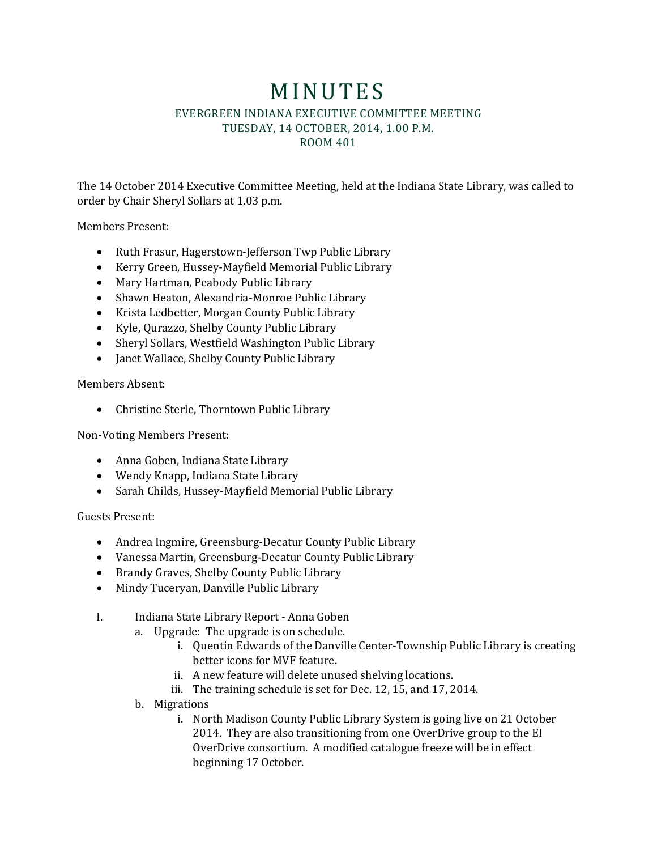## **MINUTES** EVERGREEN INDIANA EXECUTIVE COMMITTEE MEETING TUESDAY, 14 OCTOBER, 2014, 1.00 P.M. ROOM 401

The 14 October 2014 Executive Committee Meeting, held at the Indiana State Library, was called to order by Chair Sheryl Sollars at 1.03 p.m.

Members Present:

- Ruth Frasur, Hagerstown-Jefferson Twp Public Library
- Kerry Green, Hussey-Mayfield Memorial Public Library
- Mary Hartman, Peabody Public Library
- Shawn Heaton, Alexandria-Monroe Public Library
- Krista Ledbetter, Morgan County Public Library
- Kyle, Qurazzo, Shelby County Public Library
- Sheryl Sollars, Westfield Washington Public Library
- Janet Wallace, Shelby County Public Library

Members Absent:

Christine Sterle, Thorntown Public Library

Non-Voting Members Present:

- Anna Goben, Indiana State Library
- Wendy Knapp, Indiana State Library
- Sarah Childs, Hussey-Mayfield Memorial Public Library

Guests Present:

- Andrea Ingmire, Greensburg-Decatur County Public Library
- Vanessa Martin, Greensburg-Decatur County Public Library
- Brandy Graves, Shelby County Public Library
- Mindy Tuceryan, Danville Public Library
- I. Indiana State Library Report Anna Goben
	- a. Upgrade: The upgrade is on schedule.
		- i. Quentin Edwards of the Danville Center-Township Public Library is creating better icons for MVF feature.
		- ii. A new feature will delete unused shelving locations.
		- iii. The training schedule is set for Dec. 12, 15, and 17, 2014.
	- b. Migrations
		- i. North Madison County Public Library System is going live on 21 October 2014. They are also transitioning from one OverDrive group to the EI OverDrive consortium. A modified catalogue freeze will be in effect beginning 17 October.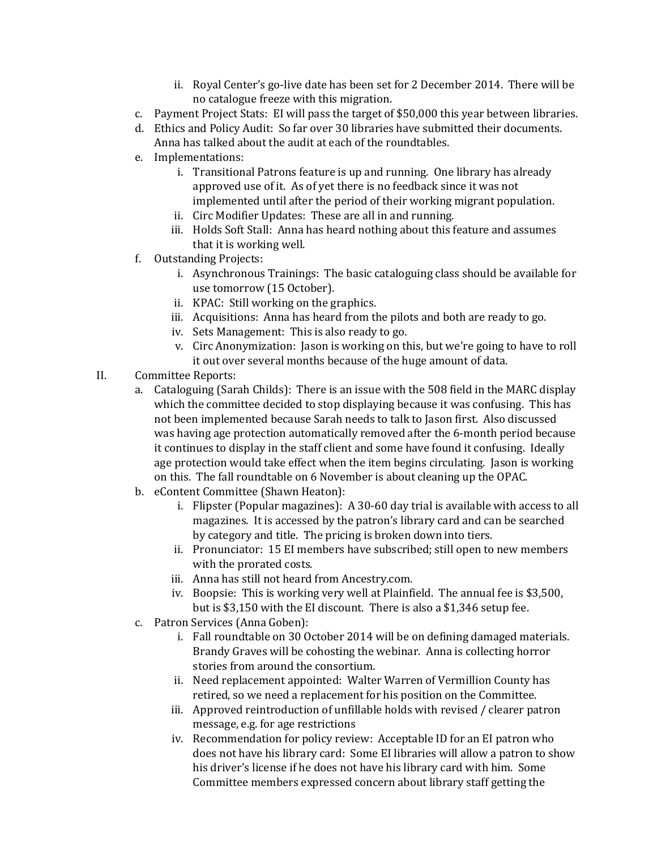- ii. Royal Center's go-live date has been set for 2 December 2014. There will be no catalogue freeze with this migration.
- c. Payment Project Stats: EI will pass the target of \$50,000 this year between libraries.
- d. Ethics and Policy Audit: So far over 30 libraries have submitted their documents. Anna has talked about the audit at each of the roundtables.
- e. Implementations:
	- i. Transitional Patrons feature is up and running. One library has already approved use of it. As of yet there is no feedback since it was not implemented until after the period of their working migrant population.
	- ii. Circ Modifier Updates: These are all in and running.
	- iii. Holds Soft Stall: Anna has heard nothing about this feature and assumes that it is working well.
- f. Outstanding Projects:
	- i. Asynchronous Trainings: The basic cataloguing class should be available for use tomorrow (15 October).
	- ii. KPAC: Still working on the graphics.
	- iii. Acquisitions: Anna has heard from the pilots and both are ready to go.
	- iv. Sets Management: This is also ready to go.
	- v. Circ Anonymization: Jason is working on this, but we're going to have to roll it out over several months because of the huge amount of data.
- II. Committee Reports:
	- a. Cataloguing (Sarah Childs): There is an issue with the 508 field in the MARC display which the committee decided to stop displaying because it was confusing. This has not been implemented because Sarah needs to talk to Jason first. Also discussed was having age protection automatically removed after the 6-month period because it continues to display in the staff client and some have found it confusing. Ideally age protection would take effect when the item begins circulating. Jason is working on this. The fall roundtable on 6 November is about cleaning up the OPAC.
	- b. eContent Committee (Shawn Heaton):
		- i. Flipster (Popular magazines): A 30-60 day trial is available with access to all magazines. It is accessed by the patron's library card and can be searched by category and title. The pricing is broken down into tiers.
		- ii. Pronunciator: 15 EI members have subscribed; still open to new members with the prorated costs.
		- iii. Anna has still not heard from Ancestry.com.
		- iv. Boopsie: This is working very well at Plainfield. The annual fee is \$3,500, but is \$3,150 with the EI discount. There is also a \$1,346 setup fee.
	- c. Patron Services (Anna Goben):
		- i. Fall roundtable on 30 October 2014 will be on defining damaged materials. Brandy Graves will be cohosting the webinar. Anna is collecting horror stories from around the consortium.
		- ii. Need replacement appointed: Walter Warren of Vermillion County has retired, so we need a replacement for his position on the Committee.
		- iii. Approved reintroduction of unfillable holds with revised / clearer patron message, e.g. for age restrictions
		- iv. Recommendation for policy review: Acceptable ID for an EI patron who does not have his library card: Some EI libraries will allow a patron to show his driver's license if he does not have his library card with him. Some Committee members expressed concern about library staff getting the